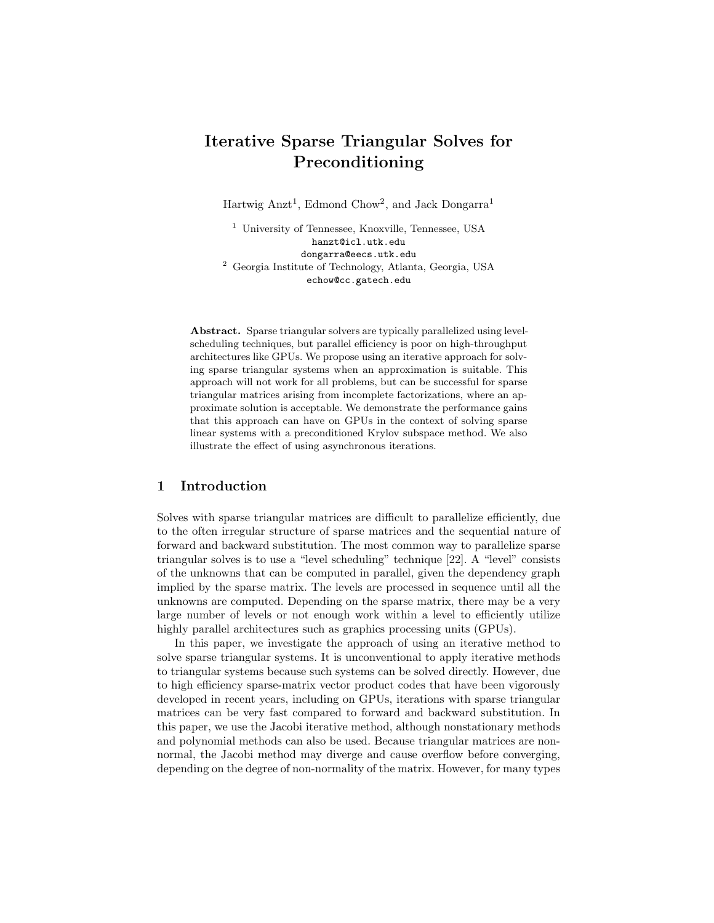# Iterative Sparse Triangular Solves for Preconditioning

Hartwig Anzt<sup>1</sup>, Edmond Chow<sup>2</sup>, and Jack Dongarra<sup>1</sup>

<sup>1</sup> University of Tennessee, Knoxville, Tennessee, USA hanzt@icl.utk.edu dongarra@eecs.utk.edu <sup>2</sup> Georgia Institute of Technology, Atlanta, Georgia, USA echow@cc.gatech.edu

Abstract. Sparse triangular solvers are typically parallelized using levelscheduling techniques, but parallel efficiency is poor on high-throughput architectures like GPUs. We propose using an iterative approach for solving sparse triangular systems when an approximation is suitable. This approach will not work for all problems, but can be successful for sparse triangular matrices arising from incomplete factorizations, where an approximate solution is acceptable. We demonstrate the performance gains that this approach can have on GPUs in the context of solving sparse linear systems with a preconditioned Krylov subspace method. We also illustrate the effect of using asynchronous iterations.

## 1 Introduction

Solves with sparse triangular matrices are difficult to parallelize efficiently, due to the often irregular structure of sparse matrices and the sequential nature of forward and backward substitution. The most common way to parallelize sparse triangular solves is to use a "level scheduling" technique [22]. A "level" consists of the unknowns that can be computed in parallel, given the dependency graph implied by the sparse matrix. The levels are processed in sequence until all the unknowns are computed. Depending on the sparse matrix, there may be a very large number of levels or not enough work within a level to efficiently utilize highly parallel architectures such as graphics processing units (GPUs).

In this paper, we investigate the approach of using an iterative method to solve sparse triangular systems. It is unconventional to apply iterative methods to triangular systems because such systems can be solved directly. However, due to high efficiency sparse-matrix vector product codes that have been vigorously developed in recent years, including on GPUs, iterations with sparse triangular matrices can be very fast compared to forward and backward substitution. In this paper, we use the Jacobi iterative method, although nonstationary methods and polynomial methods can also be used. Because triangular matrices are nonnormal, the Jacobi method may diverge and cause overflow before converging, depending on the degree of non-normality of the matrix. However, for many types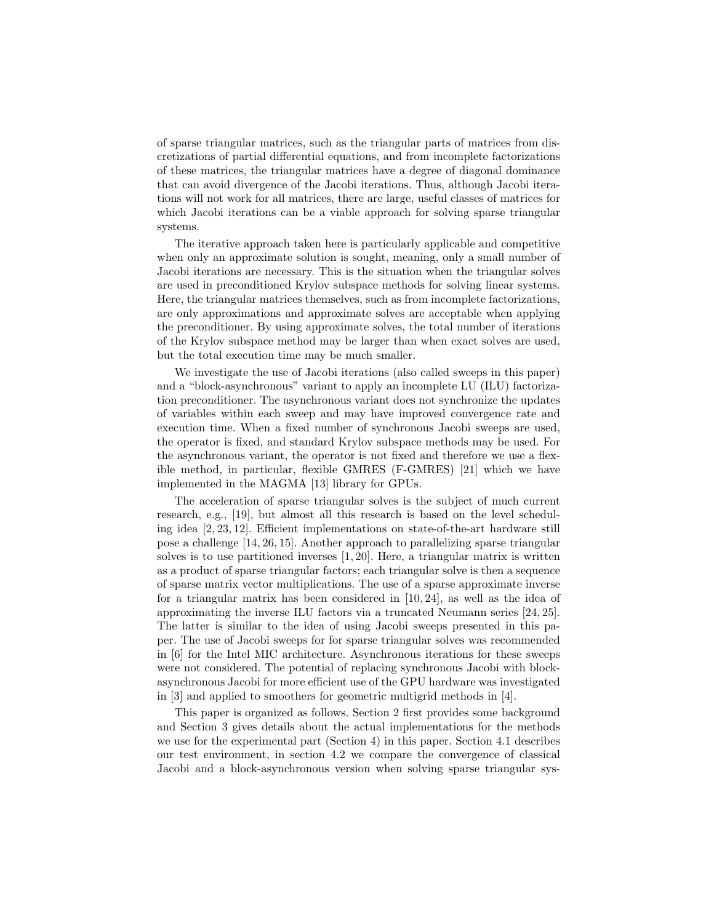of sparse triangular matrices, such as the triangular parts of matrices from discretizations of partial differential equations, and from incomplete factorizations of these matrices, the triangular matrices have a degree of diagonal dominance that can avoid divergence of the Jacobi iterations. Thus, although Jacobi iterations will not work for all matrices, there are large, useful classes of matrices for which Jacobi iterations can be a viable approach for solving sparse triangular systems.

The iterative approach taken here is particularly applicable and competitive when only an approximate solution is sought, meaning, only a small number of Jacobi iterations are necessary. This is the situation when the triangular solves are used in preconditioned Krylov subspace methods for solving linear systems. Here, the triangular matrices themselves, such as from incomplete factorizations, are only approximations and approximate solves are acceptable when applying the preconditioner. By using approximate solves, the total number of iterations of the Krylov subspace method may be larger than when exact solves are used, but the total execution time may be much smaller.

We investigate the use of Jacobi iterations (also called sweeps in this paper) and a "block-asynchronous" variant to apply an incomplete LU (ILU) factorization preconditioner. The asynchronous variant does not synchronize the updates of variables within each sweep and may have improved convergence rate and execution time. When a fixed number of synchronous Jacobi sweeps are used, the operator is fixed, and standard Krylov subspace methods may be used. For the asynchronous variant, the operator is not fixed and therefore we use a flexible method, in particular, flexible GMRES (F-GMRES) [21] which we have implemented in the MAGMA [13] library for GPUs.

The acceleration of sparse triangular solves is the subject of much current research, e.g., [19], but almost all this research is based on the level scheduling idea [2, 23, 12]. Efficient implementations on state-of-the-art hardware still pose a challenge [14, 26, 15]. Another approach to parallelizing sparse triangular solves is to use partitioned inverses [1, 20]. Here, a triangular matrix is written as a product of sparse triangular factors; each triangular solve is then a sequence of sparse matrix vector multiplications. The use of a sparse approximate inverse for a triangular matrix has been considered in [10, 24], as well as the idea of approximating the inverse ILU factors via a truncated Neumann series [24, 25]. The latter is similar to the idea of using Jacobi sweeps presented in this paper. The use of Jacobi sweeps for for sparse triangular solves was recommended in [6] for the Intel MIC architecture. Asynchronous iterations for these sweeps were not considered. The potential of replacing synchronous Jacobi with blockasynchronous Jacobi for more efficient use of the GPU hardware was investigated in [3] and applied to smoothers for geometric multigrid methods in [4].

This paper is organized as follows. Section 2 first provides some background and Section 3 gives details about the actual implementations for the methods we use for the experimental part (Section 4) in this paper. Section 4.1 describes our test environment, in section 4.2 we compare the convergence of classical Jacobi and a block-asynchronous version when solving sparse triangular sys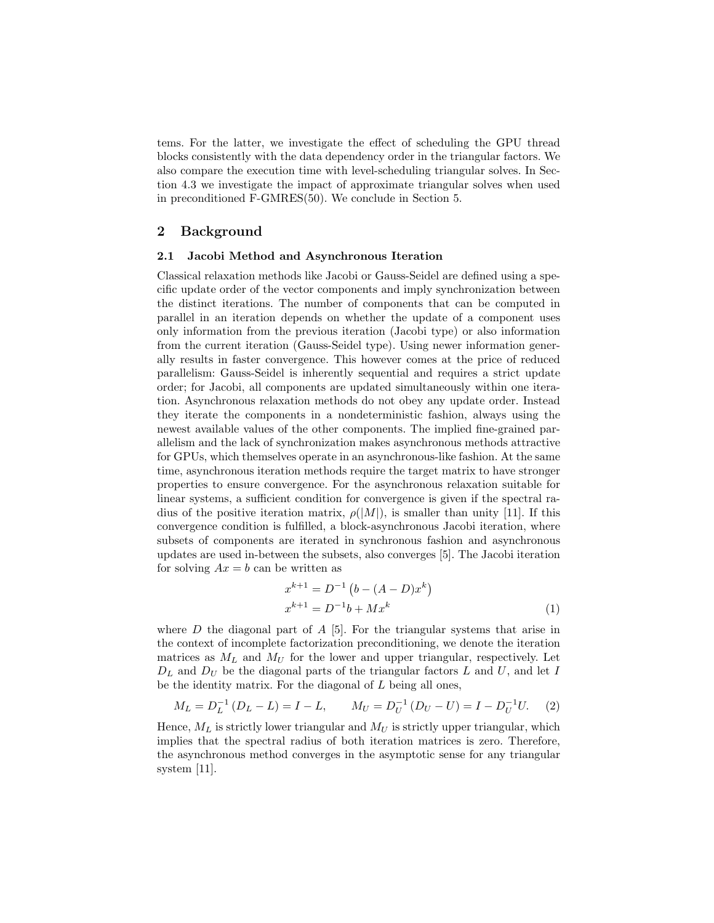tems. For the latter, we investigate the effect of scheduling the GPU thread blocks consistently with the data dependency order in the triangular factors. We also compare the execution time with level-scheduling triangular solves. In Section 4.3 we investigate the impact of approximate triangular solves when used in preconditioned F-GMRES(50). We conclude in Section 5.

## 2 Background

#### 2.1 Jacobi Method and Asynchronous Iteration

Classical relaxation methods like Jacobi or Gauss-Seidel are defined using a specific update order of the vector components and imply synchronization between the distinct iterations. The number of components that can be computed in parallel in an iteration depends on whether the update of a component uses only information from the previous iteration (Jacobi type) or also information from the current iteration (Gauss-Seidel type). Using newer information generally results in faster convergence. This however comes at the price of reduced parallelism: Gauss-Seidel is inherently sequential and requires a strict update order; for Jacobi, all components are updated simultaneously within one iteration. Asynchronous relaxation methods do not obey any update order. Instead they iterate the components in a nondeterministic fashion, always using the newest available values of the other components. The implied fine-grained parallelism and the lack of synchronization makes asynchronous methods attractive for GPUs, which themselves operate in an asynchronous-like fashion. At the same time, asynchronous iteration methods require the target matrix to have stronger properties to ensure convergence. For the asynchronous relaxation suitable for linear systems, a sufficient condition for convergence is given if the spectral radius of the positive iteration matrix,  $\rho(|M|)$ , is smaller than unity [11]. If this convergence condition is fulfilled, a block-asynchronous Jacobi iteration, where subsets of components are iterated in synchronous fashion and asynchronous updates are used in-between the subsets, also converges [5]. The Jacobi iteration for solving  $Ax = b$  can be written as

$$
x^{k+1} = D^{-1} (b - (A - D)x^k)
$$
  
\n
$$
x^{k+1} = D^{-1}b + Mx^k
$$
\n(1)

where  $D$  the diagonal part of  $A$  [5]. For the triangular systems that arise in the context of incomplete factorization preconditioning, we denote the iteration matrices as  $M_L$  and  $M_U$  for the lower and upper triangular, respectively. Let  $D<sub>L</sub>$  and  $D<sub>U</sub>$  be the diagonal parts of the triangular factors  $L$  and  $U$ , and let  $I$ be the identity matrix. For the diagonal of  $L$  being all ones,

$$
M_L = D_L^{-1} (D_L - L) = I - L, \qquad M_U = D_U^{-1} (D_U - U) = I - D_U^{-1} U. \tag{2}
$$

Hence,  $M_L$  is strictly lower triangular and  $M_U$  is strictly upper triangular, which implies that the spectral radius of both iteration matrices is zero. Therefore, the asynchronous method converges in the asymptotic sense for any triangular system [11].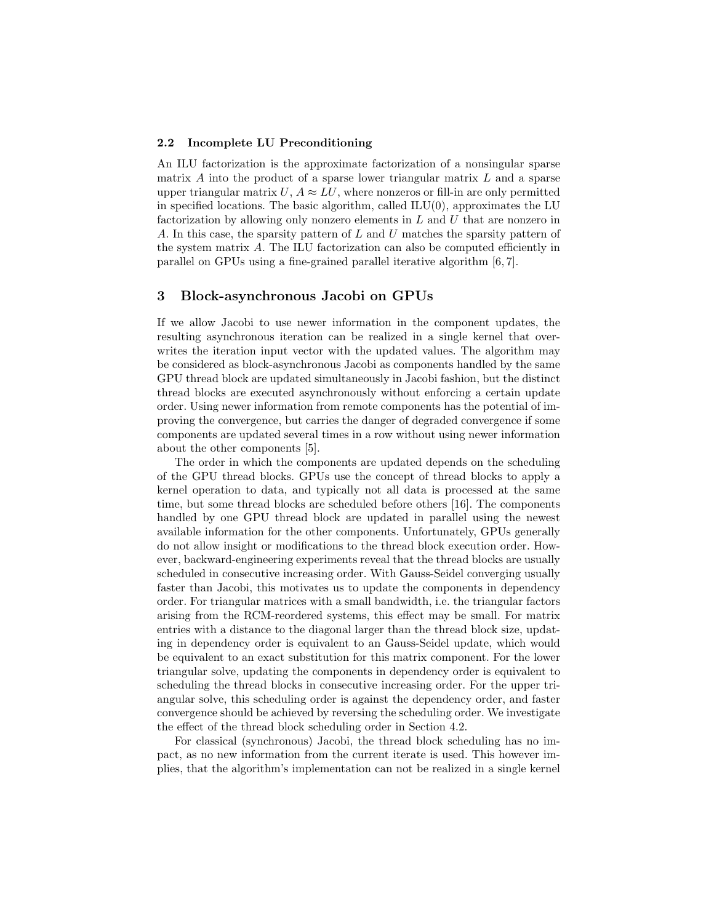#### 2.2 Incomplete LU Preconditioning

An ILU factorization is the approximate factorization of a nonsingular sparse matrix  $A$  into the product of a sparse lower triangular matrix  $L$  and a sparse upper triangular matrix  $U, A \approx LU$ , where nonzeros or fill-in are only permitted in specified locations. The basic algorithm, called  $ILU(0)$ , approximates the  $LU$ factorization by allowing only nonzero elements in L and U that are nonzero in A. In this case, the sparsity pattern of L and U matches the sparsity pattern of the system matrix A. The ILU factorization can also be computed efficiently in parallel on GPUs using a fine-grained parallel iterative algorithm [6, 7].

## 3 Block-asynchronous Jacobi on GPUs

If we allow Jacobi to use newer information in the component updates, the resulting asynchronous iteration can be realized in a single kernel that overwrites the iteration input vector with the updated values. The algorithm may be considered as block-asynchronous Jacobi as components handled by the same GPU thread block are updated simultaneously in Jacobi fashion, but the distinct thread blocks are executed asynchronously without enforcing a certain update order. Using newer information from remote components has the potential of improving the convergence, but carries the danger of degraded convergence if some components are updated several times in a row without using newer information about the other components [5].

The order in which the components are updated depends on the scheduling of the GPU thread blocks. GPUs use the concept of thread blocks to apply a kernel operation to data, and typically not all data is processed at the same time, but some thread blocks are scheduled before others [16]. The components handled by one GPU thread block are updated in parallel using the newest available information for the other components. Unfortunately, GPUs generally do not allow insight or modifications to the thread block execution order. However, backward-engineering experiments reveal that the thread blocks are usually scheduled in consecutive increasing order. With Gauss-Seidel converging usually faster than Jacobi, this motivates us to update the components in dependency order. For triangular matrices with a small bandwidth, i.e. the triangular factors arising from the RCM-reordered systems, this effect may be small. For matrix entries with a distance to the diagonal larger than the thread block size, updating in dependency order is equivalent to an Gauss-Seidel update, which would be equivalent to an exact substitution for this matrix component. For the lower triangular solve, updating the components in dependency order is equivalent to scheduling the thread blocks in consecutive increasing order. For the upper triangular solve, this scheduling order is against the dependency order, and faster convergence should be achieved by reversing the scheduling order. We investigate the effect of the thread block scheduling order in Section 4.2.

For classical (synchronous) Jacobi, the thread block scheduling has no impact, as no new information from the current iterate is used. This however implies, that the algorithm's implementation can not be realized in a single kernel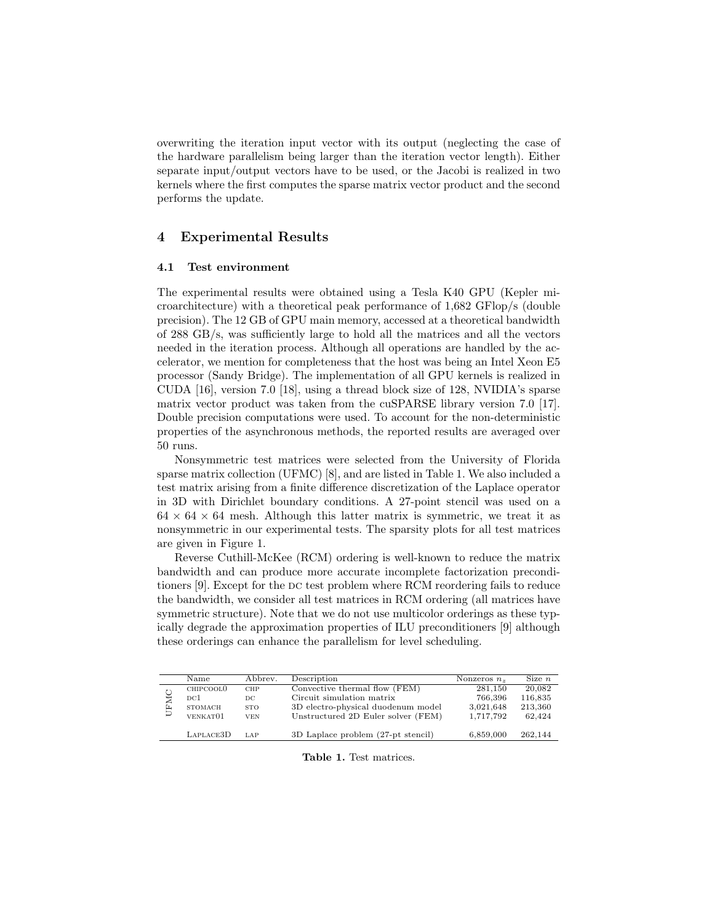overwriting the iteration input vector with its output (neglecting the case of the hardware parallelism being larger than the iteration vector length). Either separate input/output vectors have to be used, or the Jacobi is realized in two kernels where the first computes the sparse matrix vector product and the second performs the update.

# 4 Experimental Results

#### 4.1 Test environment

The experimental results were obtained using a Tesla K40 GPU (Kepler microarchitecture) with a theoretical peak performance of 1,682 GFlop/s (double precision). The 12 GB of GPU main memory, accessed at a theoretical bandwidth of 288 GB/s, was sufficiently large to hold all the matrices and all the vectors needed in the iteration process. Although all operations are handled by the accelerator, we mention for completeness that the host was being an Intel Xeon E5 processor (Sandy Bridge). The implementation of all GPU kernels is realized in CUDA [16], version 7.0 [18], using a thread block size of 128, NVIDIA's sparse matrix vector product was taken from the cuSPARSE library version 7.0 [17]. Double precision computations were used. To account for the non-deterministic properties of the asynchronous methods, the reported results are averaged over 50 runs.

Nonsymmetric test matrices were selected from the University of Florida sparse matrix collection (UFMC) [8], and are listed in Table 1. We also included a test matrix arising from a finite difference discretization of the Laplace operator in 3D with Dirichlet boundary conditions. A 27-point stencil was used on a  $64 \times 64 \times 64$  mesh. Although this latter matrix is symmetric, we treat it as nonsymmetric in our experimental tests. The sparsity plots for all test matrices are given in Figure 1.

Reverse Cuthill-McKee (RCM) ordering is well-known to reduce the matrix bandwidth and can produce more accurate incomplete factorization preconditioners [9]. Except for the DC test problem where RCM reordering fails to reduce the bandwidth, we consider all test matrices in RCM ordering (all matrices have symmetric structure). Note that we do not use multicolor orderings as these typically degrade the approximation properties of ILU preconditioners [9] although these orderings can enhance the parallelism for level scheduling.

|             | Name                  | Abbrev.    | Description                        | Nonzeros $n_{\gamma}$ | Size $n$ |
|-------------|-----------------------|------------|------------------------------------|-----------------------|----------|
| ◡<br>Ř<br>Ь | CHIPCOOL <sub>0</sub> | <b>CHP</b> | Convective thermal flow (FEM)      | 281,150               | 20,082   |
|             | DC <sub>1</sub>       | DC.        | Circuit simulation matrix          | 766,396               | 116,835  |
|             | STOMACH               | <b>STO</b> | 3D electro-physical duodenum model | 3,021,648             | 213,360  |
|             | VENKAT01              | <b>VEN</b> | Unstructured 2D Euler solver (FEM) | 1,717,792             | 62,424   |
|             | LAPLACE3D             | LAP        | 3D Laplace problem (27-pt stencil) | 6,859,000             | 262.144  |
|             |                       |            |                                    |                       |          |

Table 1. Test matrices.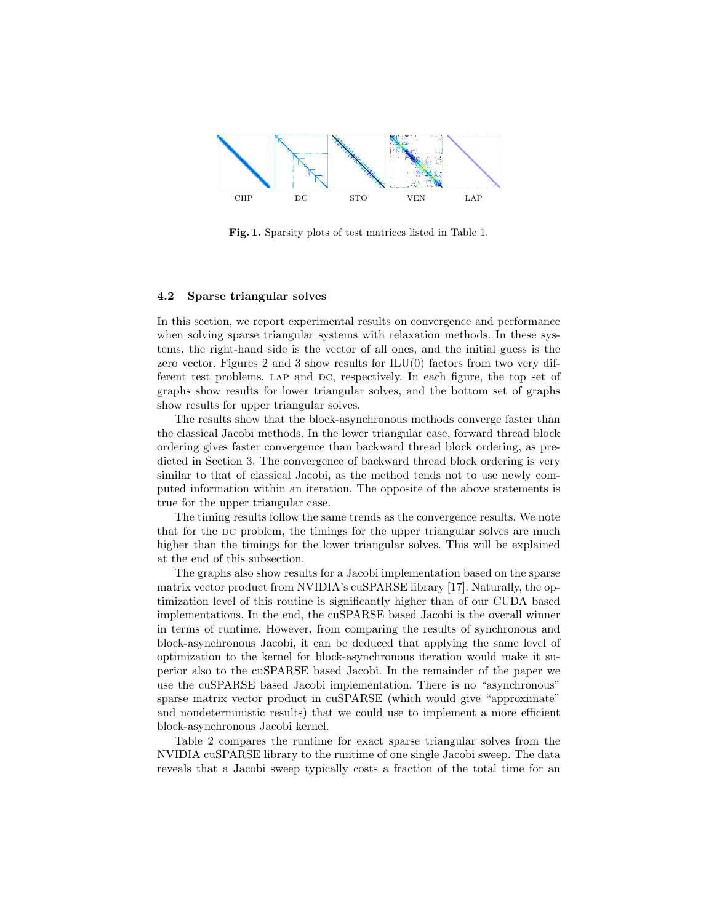

Fig. 1. Sparsity plots of test matrices listed in Table 1.

#### 4.2 Sparse triangular solves

In this section, we report experimental results on convergence and performance when solving sparse triangular systems with relaxation methods. In these systems, the right-hand side is the vector of all ones, and the initial guess is the zero vector. Figures 2 and 3 show results for ILU(0) factors from two very different test problems, LAP and DC, respectively. In each figure, the top set of graphs show results for lower triangular solves, and the bottom set of graphs show results for upper triangular solves.

The results show that the block-asynchronous methods converge faster than the classical Jacobi methods. In the lower triangular case, forward thread block ordering gives faster convergence than backward thread block ordering, as predicted in Section 3. The convergence of backward thread block ordering is very similar to that of classical Jacobi, as the method tends not to use newly computed information within an iteration. The opposite of the above statements is true for the upper triangular case.

The timing results follow the same trends as the convergence results. We note that for the DC problem, the timings for the upper triangular solves are much higher than the timings for the lower triangular solves. This will be explained at the end of this subsection.

The graphs also show results for a Jacobi implementation based on the sparse matrix vector product from NVIDIA's cuSPARSE library [17]. Naturally, the optimization level of this routine is significantly higher than of our CUDA based implementations. In the end, the cuSPARSE based Jacobi is the overall winner in terms of runtime. However, from comparing the results of synchronous and block-asynchronous Jacobi, it can be deduced that applying the same level of optimization to the kernel for block-asynchronous iteration would make it superior also to the cuSPARSE based Jacobi. In the remainder of the paper we use the cuSPARSE based Jacobi implementation. There is no "asynchronous" sparse matrix vector product in cuSPARSE (which would give "approximate" and nondeterministic results) that we could use to implement a more efficient block-asynchronous Jacobi kernel.

Table 2 compares the runtime for exact sparse triangular solves from the NVIDIA cuSPARSE library to the runtime of one single Jacobi sweep. The data reveals that a Jacobi sweep typically costs a fraction of the total time for an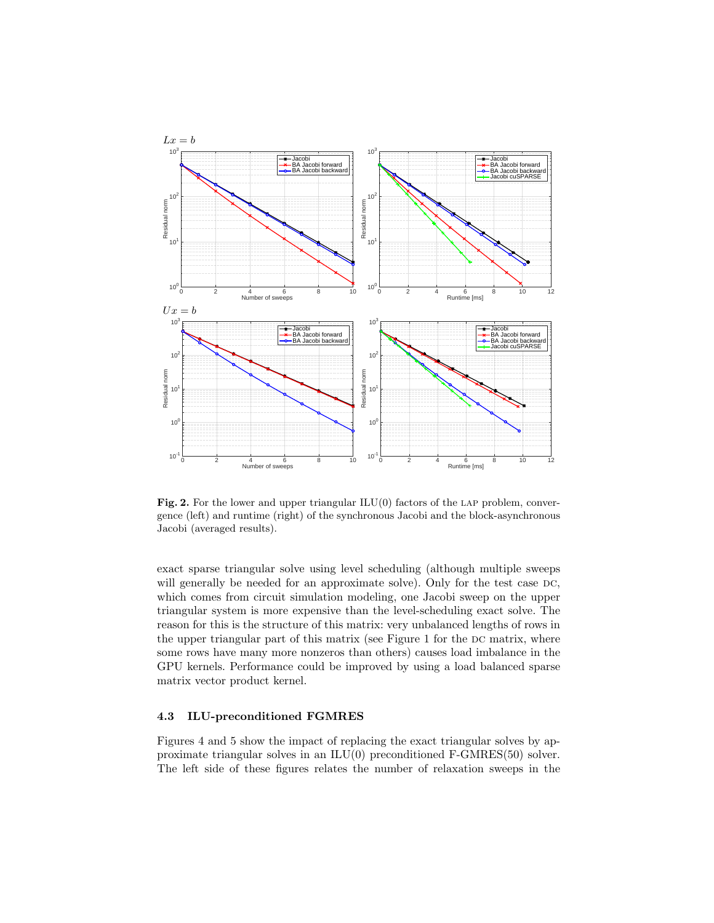

Fig. 2. For the lower and upper triangular  $ILU(0)$  factors of the LAP problem, convergence (left) and runtime (right) of the synchronous Jacobi and the block-asynchronous Jacobi (averaged results).

exact sparse triangular solve using level scheduling (although multiple sweeps will generally be needed for an approximate solve). Only for the test case DC, which comes from circuit simulation modeling, one Jacobi sweep on the upper triangular system is more expensive than the level-scheduling exact solve. The reason for this is the structure of this matrix: very unbalanced lengths of rows in the upper triangular part of this matrix (see Figure 1 for the DC matrix, where some rows have many more nonzeros than others) causes load imbalance in the GPU kernels. Performance could be improved by using a load balanced sparse matrix vector product kernel.

#### 4.3 ILU-preconditioned FGMRES

Figures 4 and 5 show the impact of replacing the exact triangular solves by approximate triangular solves in an ILU(0) preconditioned F-GMRES(50) solver. The left side of these figures relates the number of relaxation sweeps in the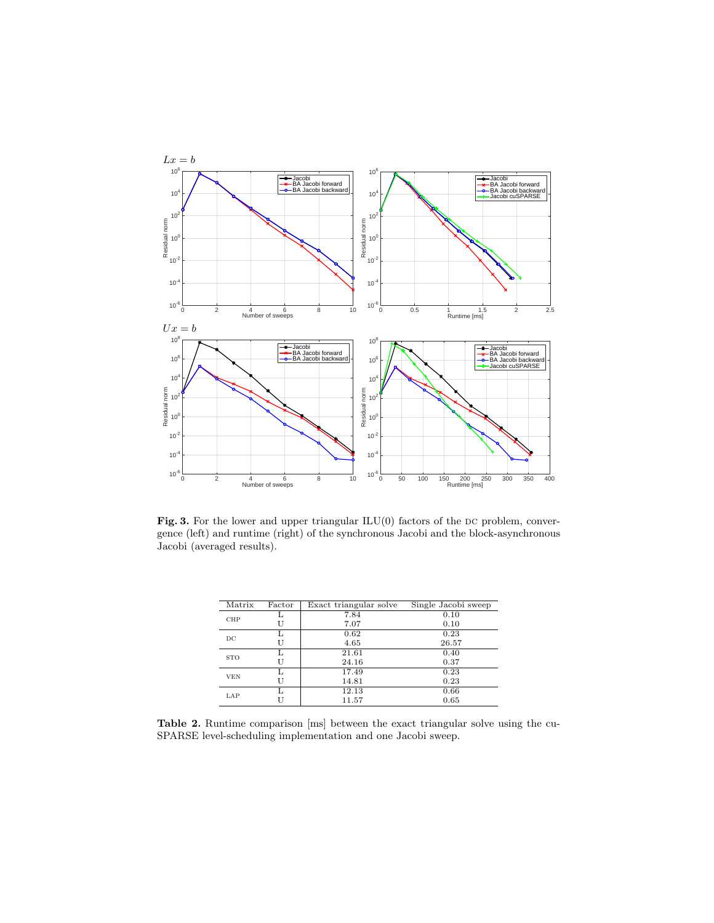

Fig. 3. For the lower and upper triangular  $ILU(0)$  factors of the DC problem, convergence (left) and runtime (right) of the synchronous Jacobi and the block-asynchronous Jacobi (averaged results).

| Matrix      | Factor | Exact triangular solve | Single Jacobi sweep |
|-------------|--------|------------------------|---------------------|
| <b>CHP</b>  |        | 7.84                   | 0.10                |
|             | U      | 7.07                   | 0.10                |
| $_{\rm DC}$ |        | 0.62                   | 0.23                |
|             | Ū      | 4.65                   | 26.57               |
| <b>STO</b>  |        | 21.61                  | 0.40                |
|             | Ħ      | 24.16                  | 0.37                |
| <b>VEN</b>  |        | 17.49                  | 0.23                |
|             | T١     | 14.81                  | 0.23                |
|             |        | 12.13                  | 0.66                |
| LAP         | T١     | 11.57                  | 0.65                |

Table 2. Runtime comparison [ms] between the exact triangular solve using the cu-SPARSE level-scheduling implementation and one Jacobi sweep.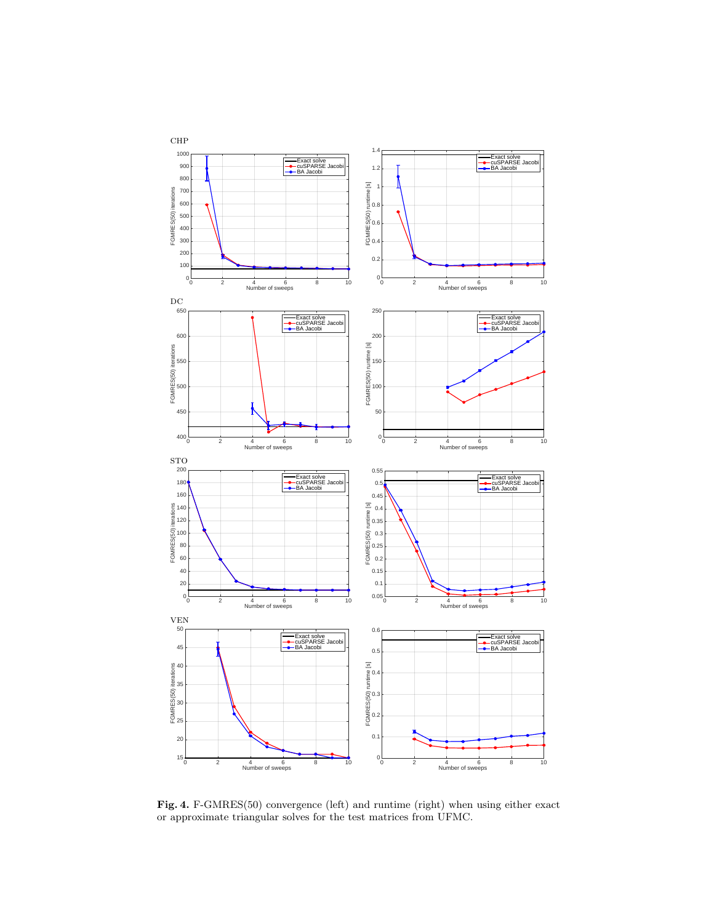

Fig. 4. F-GMRES(50) convergence (left) and runtime (right) when using either exact or approximate triangular solves for the test matrices from UFMC.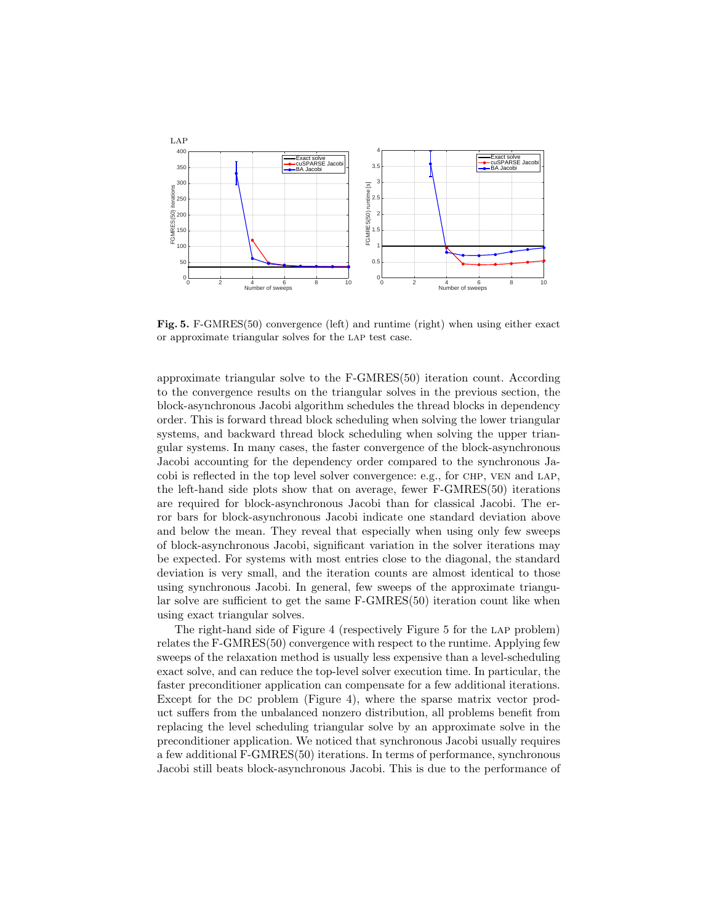

Fig. 5. F-GMRES(50) convergence (left) and runtime (right) when using either exact or approximate triangular solves for the lap test case.

approximate triangular solve to the F-GMRES(50) iteration count. According to the convergence results on the triangular solves in the previous section, the block-asynchronous Jacobi algorithm schedules the thread blocks in dependency order. This is forward thread block scheduling when solving the lower triangular systems, and backward thread block scheduling when solving the upper triangular systems. In many cases, the faster convergence of the block-asynchronous Jacobi accounting for the dependency order compared to the synchronous Jacobi is reflected in the top level solver convergence: e.g., for CHP, VEN and LAP, the left-hand side plots show that on average, fewer F-GMRES(50) iterations are required for block-asynchronous Jacobi than for classical Jacobi. The error bars for block-asynchronous Jacobi indicate one standard deviation above and below the mean. They reveal that especially when using only few sweeps of block-asynchronous Jacobi, significant variation in the solver iterations may be expected. For systems with most entries close to the diagonal, the standard deviation is very small, and the iteration counts are almost identical to those using synchronous Jacobi. In general, few sweeps of the approximate triangular solve are sufficient to get the same F-GMRES(50) iteration count like when using exact triangular solves.

The right-hand side of Figure 4 (respectively Figure 5 for the lap problem) relates the F-GMRES(50) convergence with respect to the runtime. Applying few sweeps of the relaxation method is usually less expensive than a level-scheduling exact solve, and can reduce the top-level solver execution time. In particular, the faster preconditioner application can compensate for a few additional iterations. Except for the DC problem (Figure 4), where the sparse matrix vector product suffers from the unbalanced nonzero distribution, all problems benefit from replacing the level scheduling triangular solve by an approximate solve in the preconditioner application. We noticed that synchronous Jacobi usually requires a few additional F-GMRES(50) iterations. In terms of performance, synchronous Jacobi still beats block-asynchronous Jacobi. This is due to the performance of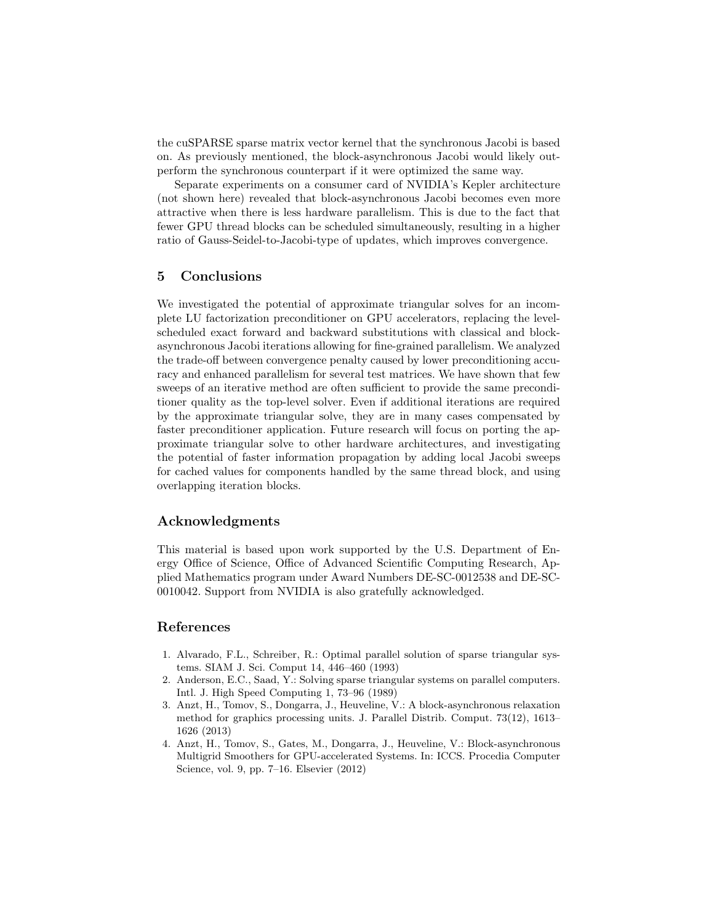the cuSPARSE sparse matrix vector kernel that the synchronous Jacobi is based on. As previously mentioned, the block-asynchronous Jacobi would likely outperform the synchronous counterpart if it were optimized the same way.

Separate experiments on a consumer card of NVIDIA's Kepler architecture (not shown here) revealed that block-asynchronous Jacobi becomes even more attractive when there is less hardware parallelism. This is due to the fact that fewer GPU thread blocks can be scheduled simultaneously, resulting in a higher ratio of Gauss-Seidel-to-Jacobi-type of updates, which improves convergence.

## 5 Conclusions

We investigated the potential of approximate triangular solves for an incomplete LU factorization preconditioner on GPU accelerators, replacing the levelscheduled exact forward and backward substitutions with classical and blockasynchronous Jacobi iterations allowing for fine-grained parallelism. We analyzed the trade-off between convergence penalty caused by lower preconditioning accuracy and enhanced parallelism for several test matrices. We have shown that few sweeps of an iterative method are often sufficient to provide the same preconditioner quality as the top-level solver. Even if additional iterations are required by the approximate triangular solve, they are in many cases compensated by faster preconditioner application. Future research will focus on porting the approximate triangular solve to other hardware architectures, and investigating the potential of faster information propagation by adding local Jacobi sweeps for cached values for components handled by the same thread block, and using overlapping iteration blocks.

## Acknowledgments

This material is based upon work supported by the U.S. Department of Energy Office of Science, Office of Advanced Scientific Computing Research, Applied Mathematics program under Award Numbers DE-SC-0012538 and DE-SC-0010042. Support from NVIDIA is also gratefully acknowledged.

## References

- 1. Alvarado, F.L., Schreiber, R.: Optimal parallel solution of sparse triangular systems. SIAM J. Sci. Comput 14, 446–460 (1993)
- 2. Anderson, E.C., Saad, Y.: Solving sparse triangular systems on parallel computers. Intl. J. High Speed Computing 1, 73–96 (1989)
- 3. Anzt, H., Tomov, S., Dongarra, J., Heuveline, V.: A block-asynchronous relaxation method for graphics processing units. J. Parallel Distrib. Comput. 73(12), 1613– 1626 (2013)
- 4. Anzt, H., Tomov, S., Gates, M., Dongarra, J., Heuveline, V.: Block-asynchronous Multigrid Smoothers for GPU-accelerated Systems. In: ICCS. Procedia Computer Science, vol. 9, pp. 7–16. Elsevier (2012)